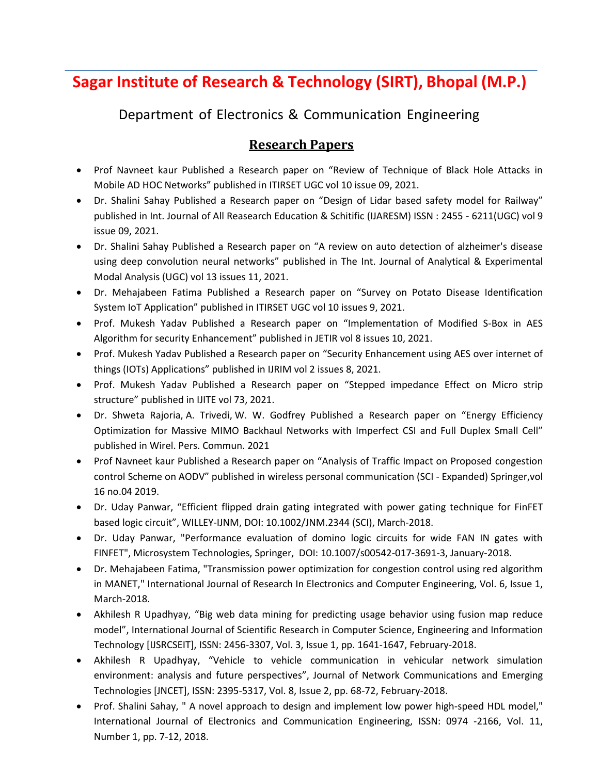## **Sagar Institute of Research & Technology (SIRT), Bhopal (M.P.)**

Department of Electronics & Communication Engineering

## **Research Papers**

- Prof Navneet kaur Published a Research paper on "Review of Technique of Black Hole Attacks in Mobile AD HOC Networks" published in ITIRSET UGC vol 10 issue 09, 2021.
- Dr. Shalini Sahay Published a Research paper on "Design of Lidar based safety model for Railway" published in Int. Journal of All Reasearch Education & Schitific (IJARESM) ISSN : 2455 - 6211(UGC) vol 9 issue 09, 2021.
- Dr. Shalini Sahay Published a Research paper on "A review on auto detection of alzheimer's disease using deep convolution neural networks" published in The Int. Journal of Analytical & Experimental Modal Analysis (UGC) vol 13 issues 11, 2021.
- Dr. Mehajabeen Fatima Published a Research paper on "Survey on Potato Disease Identification System IoT Application" published in ITIRSET UGC vol 10 issues 9, 2021.
- Prof. Mukesh Yadav Published a Research paper on "Implementation of Modified S-Box in AES Algorithm for security Enhancement" published in JETIR vol 8 issues 10, 2021.
- Prof. Mukesh Yadav Published a Research paper on "Security Enhancement using AES over internet of things (IOTs) Applications" published in IJRIM vol 2 issues 8, 2021.
- Prof. Mukesh Yadav Published a Research paper on "Stepped impedance Effect on Micro strip structure" published in IJITE vol 73, 2021.
- Dr. Shweta Rajoria, A. Trivedi, W. W. Godfrey Published a Research paper on "Energy Efficiency Optimization for Massive MIMO Backhaul Networks with Imperfect CSI and Full Duplex Small Cell" published in Wirel. Pers. Commun. 2021
- Prof Navneet kaur Published a Research paper on "Analysis of Traffic Impact on Proposed congestion control Scheme on AODV" published in wireless personal communication (SCI - Expanded) Springer,vol 16 no.04 2019.
- Dr. Uday Panwar, "Efficient flipped drain gating integrated with power gating technique for FinFET based logic circuit", WILLEY-IJNM, DOI: 10.1002/JNM.2344 (SCI), March-2018.
- Dr. Uday Panwar, "Performance evaluation of domino logic circuits for wide FAN IN gates with FINFET", Microsystem Technologies, Springer, DOI: 10.1007/s00542-017-3691-3, January-2018.
- Dr. Mehajabeen Fatima, "Transmission power optimization for congestion control using red algorithm in MANET," International Journal of Research In Electronics and Computer Engineering, Vol. 6, Issue 1, March-2018.
- Akhilesh R Upadhyay, "Big web data mining for predicting usage behavior using fusion map reduce model", International Journal of Scientific Research in Computer Science, Engineering and Information Technology [IJSRCSEIT], ISSN: 2456-3307, Vol. 3, Issue 1, pp. 1641-1647, February-2018.
- Akhilesh R Upadhyay, "Vehicle to vehicle communication in vehicular network simulation environment: analysis and future perspectives", Journal of Network Communications and Emerging Technologies [JNCET], ISSN: 2395-5317, Vol. 8, Issue 2, pp. 68-72, February-2018.
- Prof. Shalini Sahay, " A novel approach to design and implement low power high-speed HDL model," International Journal of Electronics and Communication Engineering, ISSN: 0974 -2166, Vol. 11, Number 1, pp. 7-12, 2018.